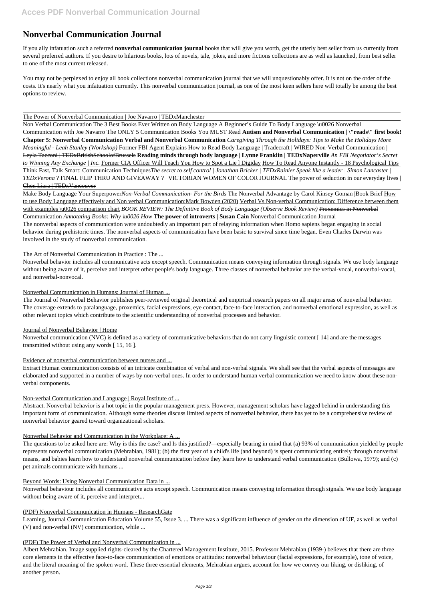# **Nonverbal Communication Journal**

If you ally infatuation such a referred **nonverbal communication journal** books that will give you worth, get the utterly best seller from us currently from several preferred authors. If you desire to hilarious books, lots of novels, tale, jokes, and more fictions collections are as well as launched, from best seller to one of the most current released.

You may not be perplexed to enjoy all book collections nonverbal communication journal that we will unquestionably offer. It is not on the order of the costs. It's nearly what you infatuation currently. This nonverbal communication journal, as one of the most keen sellers here will totally be among the best options to review.

### The Power of Nonverbal Communication | Joe Navarro | TEDxManchester

Non Verbal Communication The 3 Best Books Ever Written on Body Language A Beginner's Guide To Body Language \u0026 Nonverbal Communication with Joe Navarro The ONLY 5 Communication Books You MUST Read **Autism and Nonverbal Communication | \"reads\" first book! Chapter 5: Nonverbal Communication Verbal and Nonverbal Communication** *Caregiving Through the Holidays: Tips to Make the Holidays More Meaningful - Leah Stanley (Workshop)* Former FBI Agent Explains How to Read Body Language | Tradecraft | WIRED Non-Verbal Communication | Leyla Tacconi | TEDxBritishSchoolofBrussels **Reading minds through body language | Lynne Franklin | TEDxNaperville** *An FBI Negotiator's Secret to Winning Any Exchange | Inc.* Former CIA Officer Will Teach You How to Spot a Lie l Digiday How To Read Anyone Instantly - 18 Psychological Tips Think Fast, Talk Smart: Communication Techniques*The secret to self control | Jonathan Bricker | TEDxRainier Speak like a leader | Simon Lancaster | TEDxVerona* ? FINAL FLIP THRU AND GIVEAWAY ? | VICTORIAN WOMEN OF COLOR JOURNAL The power of seduction in our everyday lives | Chen Lizra | TEDxVancouver

Make Body Language Your Superpower*Non-Verbal Communication- For the Birds* The Nonverbal Advantage by Carol Kinsey Goman |Book Brief How to use Body Language effectively and Non verbal Communication:Mark Bowden (2020) Verbal Vs Non-verbal Communication: Difference between them with examples \u0026 comparison chart *BOOK REVIEW: The Definitive Book of Body Language (Observe Book Review)* Proxemics in Nonverbal Communication *Annotating Books: Why \u0026 How* **The power of introverts | Susan Cain** Nonverbal Communication Journal The nonverbal aspects of communication were undoubtedly an important part of relaying information when Homo sapiens began engaging in social behavior during prehistoric times. The nonverbal aspects of communication have been basic to survival since time began. Even Charles Darwin was involved in the study of nonverbal communication.

# The Art of Nonverbal Communication in Practice : The ...

Nonverbal behavior includes all communicative acts except speech. Communication means conveying information through signals. We use body language without being aware of it, perceive and interpret other people's body language. Three classes of nonverbal behavior are the verbal-vocal, nonverbal-vocal, and nonverbal-nonvocal.

# Nonverbal Communication in Humans: Journal of Human ...

The Journal of Nonverbal Behavior publishes peer-reviewed original theoretical and empirical research papers on all major areas of nonverbal behavior. The coverage extends to paralanguage, proxemics, facial expressions, eye contact, face-to-face interaction, and nonverbal emotional expression, as well as other relevant topics which contribute to the scientific understanding of nonverbal processes and behavior.

# Journal of Nonverbal Behavior | Home

Nonverbal communication (NVC) is defined as a variety of communicative behaviors that do not carry linguistic content [ 14] and are the messages transmitted without using any words [ 15, 16 ].

# Evidence of nonverbal communication between nurses and ...

Extract Human communication consists of an intricate combination of verbal and non-verbal signals. We shall see that the verbal aspects of messages are elaborated and supported in a number of ways by non-verbal ones. In order to understand human verbal communication we need to know about these nonverbal components.

# Non-verbal Communication and Language | Royal Institute of ...

Abstract. Nonverbal behavior is a hot topic in the popular management press. However, management scholars have lagged behind in understanding this important form of communication. Although some theories discuss limited aspects of nonverbal behavior, there has yet to be a comprehensive review of nonverbal behavior geared toward organizational scholars.

# Nonverbal Behavior and Communication in the Workplace: A ...

The questions to be asked here are: Why is this the case? and Is this justified?—especially bearing in mind that (a) 93% of communication yielded by people represents nonverbal communication (Mehrabian, 1981); (b) the first year of a child's life (and beyond) is spent communicating entirely through nonverbal

means, and babies learn how to understand nonverbal communication before they learn how to understand verbal communication (Bullowa, 1979); and (c) pet animals communicate with humans ...

### Beyond Words: Using Nonverbal Communication Data in ...

Nonverbal behaviour includes all communicative acts except speech. Communication means conveying information through signals. We use body language without being aware of it, perceive and interpret...

#### (PDF) Nonverbal Communication in Humans - ResearchGate

Learning, Journal Communication Education Volume 55, Issue 3. ... There was a significant influence of gender on the dimension of UF, as well as verbal (V) and non-verbal (NV) communication, while ...

### (PDF) The Power of Verbal and Nonverbal Communication in ...

Albert Mehrabian. Image supplied rights-cleared by the Chartered Management Institute, 2015. Professor Mehrabian (1939-) believes that there are three core elements in the effective face-to-face communication of emotions or attitudes: nonverbal behaviour (facial expressions, for example), tone of voice, and the literal meaning of the spoken word. These three essential elements, Mehrabian argues, account for how we convey our liking, or disliking, of another person.